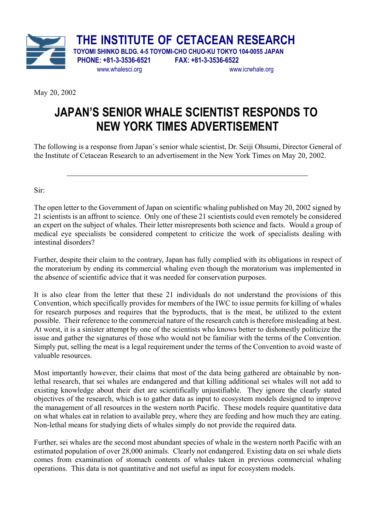

**THE INSTITUTE OF CETACEAN RESEARCH TOYOMI SHINKO BLDG. 4-5 TOYOMI-CHO CHUO-KU TOKYO 104-0055 JAPAN PHONE: +81-3-3536-6521 FAX: +81-3-3536-6522**

www.whalesci.org www.icrwhale.org

May 20, 2002

 $\overline{a}$ 

## **JAPAN'S SENIOR WHALE SCIENTIST RESPONDS TO NEW YORK TIMES ADVERTISEMENT**

The following is a response from Japan's senior whale scientist, Dr. Seiji Ohsumi, Director General of the Institute of Cetacean Research to an advertisement in the New York Times on May 20, 2002.

Sir:

The open letter to the Government of Japan on scientific whaling published on May 20, 2002 signed by 21 scientists is an affront to science. Only one of these 21 scientists could even remotely be considered an expert on the subject of whales. Their letter misrepresents both science and facts. Would a group of medical eye specialists be considered competent to criticize the work of specialists dealing with intestinal disorders?

Further, despite their claim to the contrary, Japan has fully complied with its obligations in respect of the moratorium by ending its commercial whaling even though the moratorium was implemented in the absence of scientific advice that it was needed for conservation purposes.

It is also clear from the letter that these 21 individuals do not understand the provisions of this Convention, which specifically provides for members of the IWC to issue permits for killing of whales for research purposes and requires that the byproducts, that is the meat, be utilized to the extent possible. Their reference to the commercial nature of the research catch is therefore misleading at best. At worst, it is a sinister attempt by one of the scientists who knows better to dishonestly politicize the issue and gather the signatures of those who would not be familiar with the terms of the Convention. Simply put, selling the meat is a legal requirement under the terms of the Convention to avoid waste of valuable resources.

Most importantly however, their claims that most of the data being gathered are obtainable by nonlethal research, that sei whales are endangered and that killing additional sei whales will not add to existing knowledge about their diet are scientifically unjustifiable. They ignore the clearly stated objectives of the research, which is to gather data as input to ecosystem models designed to improve the management of all resources in the western north Pacific. These models require quantitative data on what whales eat in relation to available prey, where they are feeding and how much they are eating. Non-lethal means for studying diets of whales simply do not provide the required data.

Further, sei whales are the second most abundant species of whale in the western north Pacific with an estimated population of over 28,000 animals. Clearly not endangered. Existing data on sei whale diets comes from examination of stomach contents of whales taken in previous commercial whaling operations. This data is not quantitative and not useful as input for ecosystem models.